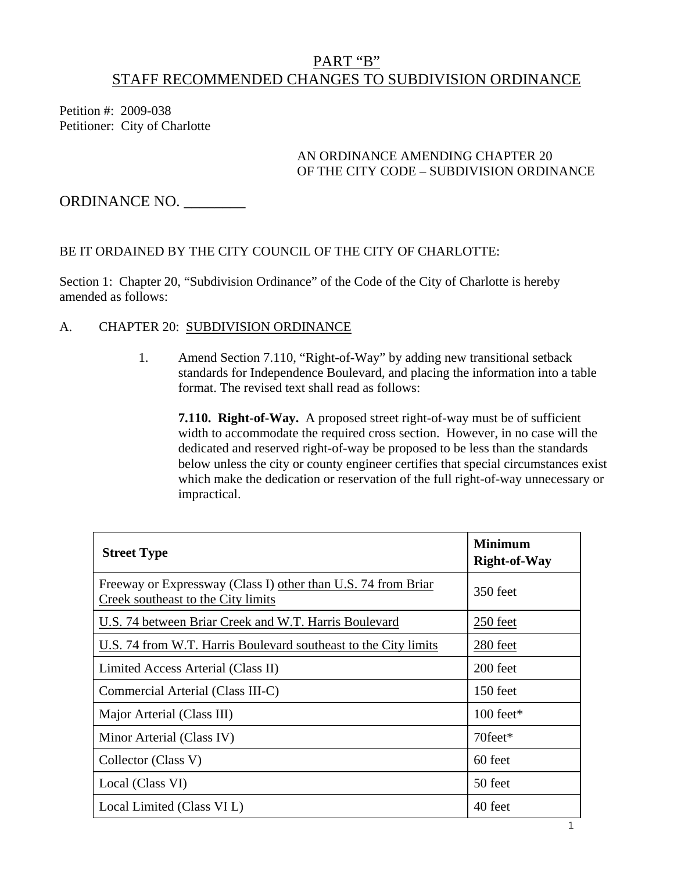# PART "B" STAFF RECOMMENDED CHANGES TO SUBDIVISION ORDINANCE

Petition #: 2009-038 Petitioner: City of Charlotte

#### AN ORDINANCE AMENDING CHAPTER 20 OF THE CITY CODE – SUBDIVISION ORDINANCE

ORDINANCE NO. \_\_\_\_\_\_\_\_

## BE IT ORDAINED BY THE CITY COUNCIL OF THE CITY OF CHARLOTTE:

Section 1: Chapter 20, "Subdivision Ordinance" of the Code of the City of Charlotte is hereby amended as follows:

### A. CHAPTER 20: SUBDIVISION ORDINANCE

1. Amend Section 7.110, "Right-of-Way" by adding new transitional setback standards for Independence Boulevard, and placing the information into a table format. The revised text shall read as follows:

**7.110. Right-of-Way.** A proposed street right-of-way must be of sufficient width to accommodate the required cross section. However, in no case will the dedicated and reserved right-of-way be proposed to be less than the standards below unless the city or county engineer certifies that special circumstances exist which make the dedication or reservation of the full right-of-way unnecessary or impractical.

| <b>Street Type</b>                                                                                  | <b>Minimum</b><br><b>Right-of-Way</b> |
|-----------------------------------------------------------------------------------------------------|---------------------------------------|
| Freeway or Expressway (Class I) other than U.S. 74 from Brian<br>Creek southeast to the City limits | 350 feet                              |
| U.S. 74 between Briar Creek and W.T. Harris Boulevard                                               | 250 feet                              |
| U.S. 74 from W.T. Harris Boulevard southeast to the City limits                                     | 280 feet                              |
| Limited Access Arterial (Class II)                                                                  | 200 feet                              |
| Commercial Arterial (Class III-C)                                                                   | $150$ feet                            |
| Major Arterial (Class III)                                                                          | $100$ feet*                           |
| Minor Arterial (Class IV)                                                                           | 70feet*                               |
| Collector (Class V)                                                                                 | 60 feet                               |
| Local (Class VI)                                                                                    | 50 feet                               |
| Local Limited (Class VI L)                                                                          | 40 feet                               |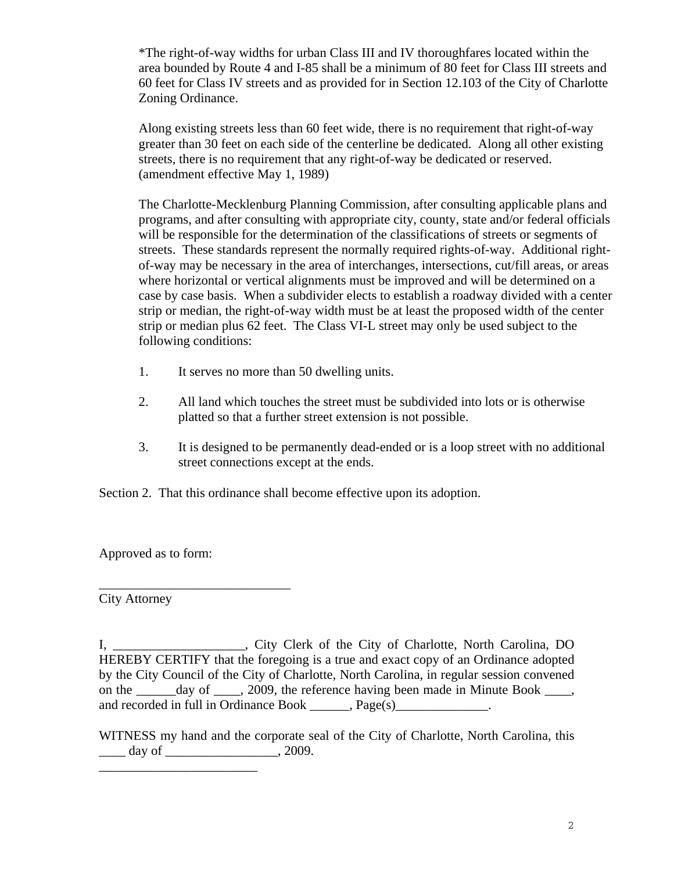\*The right-of-way widths for urban Class III and IV thoroughfares located within the area bounded by Route 4 and I-85 shall be a minimum of 80 feet for Class III streets and 60 feet for Class IV streets and as provided for in Section 12.103 of the City of Charlotte Zoning Ordinance.

Along existing streets less than 60 feet wide, there is no requirement that right-of-way greater than 30 feet on each side of the centerline be dedicated. Along all other existing streets, there is no requirement that any right-of-way be dedicated or reserved. (amendment effective May 1, 1989)

The Charlotte-Mecklenburg Planning Commission, after consulting applicable plans and programs, and after consulting with appropriate city, county, state and/or federal officials will be responsible for the determination of the classifications of streets or segments of streets. These standards represent the normally required rights-of-way. Additional rightof-way may be necessary in the area of interchanges, intersections, cut/fill areas, or areas where horizontal or vertical alignments must be improved and will be determined on a case by case basis. When a subdivider elects to establish a roadway divided with a center strip or median, the right-of-way width must be at least the proposed width of the center strip or median plus 62 feet. The Class VI-L street may only be used subject to the following conditions:

- 1. It serves no more than 50 dwelling units.
- 2. All land which touches the street must be subdivided into lots or is otherwise platted so that a further street extension is not possible.
- 3. It is designed to be permanently dead-ended or is a loop street with no additional street connections except at the ends.

Section 2. That this ordinance shall become effective upon its adoption.

Approved as to form:

\_\_\_\_\_\_\_\_\_\_\_\_\_\_\_\_\_\_\_\_\_\_\_\_\_\_\_\_\_

\_\_\_\_\_\_\_\_\_\_\_\_\_\_\_\_\_\_\_\_\_\_\_\_

City Attorney

I, \_\_\_\_\_\_\_\_\_\_\_\_\_\_\_\_\_\_\_\_, City Clerk of the City of Charlotte, North Carolina, DO HEREBY CERTIFY that the foregoing is a true and exact copy of an Ordinance adopted by the City Council of the City of Charlotte, North Carolina, in regular session convened on the day of . 2009, the reference having been made in Minute Book . and recorded in full in Ordinance Book \_\_\_\_\_\_, Page(s)\_\_\_\_\_\_\_\_\_\_\_\_\_.

WITNESS my hand and the corporate seal of the City of Charlotte, North Carolina, this  $\frac{1}{2009}$  day of  $\frac{1}{2009}$ .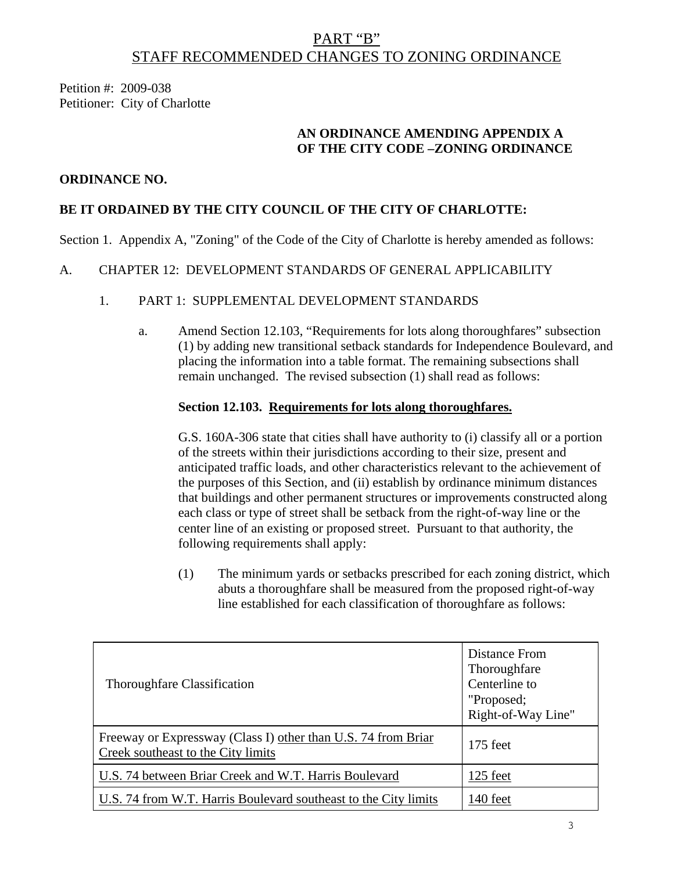## PART "B" STAFF RECOMMENDED CHANGES TO ZONING ORDINANCE

Petition #: 2009-038 Petitioner: City of Charlotte

## **AN ORDINANCE AMENDING APPENDIX A OF THE CITY CODE –ZONING ORDINANCE**

#### **ORDINANCE NO.**

## **BE IT ORDAINED BY THE CITY COUNCIL OF THE CITY OF CHARLOTTE:**

Section 1. Appendix A, "Zoning" of the Code of the City of Charlotte is hereby amended as follows:

#### A. CHAPTER 12: DEVELOPMENT STANDARDS OF GENERAL APPLICABILITY

#### 1. PART 1: SUPPLEMENTAL DEVELOPMENT STANDARDS

a. Amend Section 12.103, "Requirements for lots along thoroughfares" subsection (1) by adding new transitional setback standards for Independence Boulevard, and placing the information into a table format. The remaining subsections shall remain unchanged. The revised subsection (1) shall read as follows:

#### **Section 12.103. Requirements for lots along thoroughfares.**

G.S. 160A-306 state that cities shall have authority to (i) classify all or a portion of the streets within their jurisdictions according to their size, present and anticipated traffic loads, and other characteristics relevant to the achievement of the purposes of this Section, and (ii) establish by ordinance minimum distances that buildings and other permanent structures or improvements constructed along each class or type of street shall be setback from the right-of-way line or the center line of an existing or proposed street. Pursuant to that authority, the following requirements shall apply:

(1) The minimum yards or setbacks prescribed for each zoning district, which abuts a thoroughfare shall be measured from the proposed right-of-way line established for each classification of thoroughfare as follows:

| Thoroughfare Classification                                                                         | Distance From<br>Thoroughfare<br>Centerline to<br>"Proposed;<br>Right-of-Way Line" |
|-----------------------------------------------------------------------------------------------------|------------------------------------------------------------------------------------|
| Freeway or Expressway (Class I) other than U.S. 74 from Briar<br>Creek southeast to the City limits | $175$ feet                                                                         |
| U.S. 74 between Briar Creek and W.T. Harris Boulevard                                               | 125 feet                                                                           |
| U.S. 74 from W.T. Harris Boulevard southeast to the City limits                                     | 140 feet                                                                           |